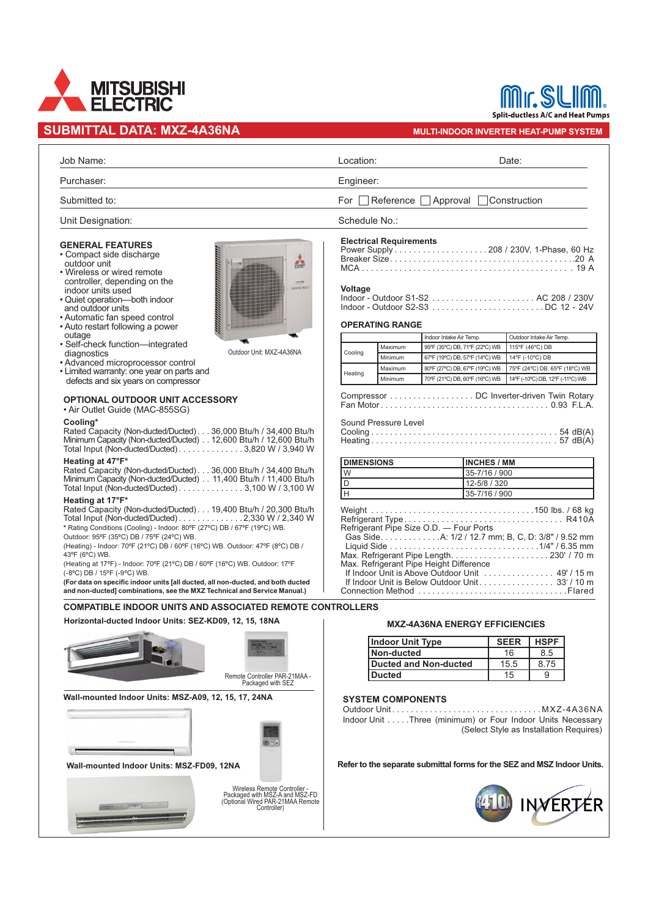

### **SUBMITTAL DATA: MXZ-4A36NA MACCLOSED AT A CONSUMIT OF A CONSUMIT AND A CONSUMIT AT A CONSUMIT TO A CONSUMITY OF SYSTEM**

## Mr. SLIM. **Split-ductless A/C and Heat Pumps**

| Job Name:                | Location:     | Date:                                                    |
|--------------------------|---------------|----------------------------------------------------------|
| Purchaser:               | Engineer:     |                                                          |
| Submitted to:            |               | For $\Box$ Reference $\Box$ Approval $\Box$ Construction |
| <b>Unit Designation:</b> | Schedule No.: |                                                          |

#### **GENERAL FEATURES**

- Compact side discharge outdoor unit
- Wireless or wired remote controller, depending on the indoor units used
- Quiet operation—both indoor and outdoor units
- Automatic fan speed control
- Auto restart following a power outage
- Self-check function—integrated diagnostics • Advanced microprocessor control • Limited warranty: one year on parts and defects and six years on compressor



### **OPTIONAL OUTDOOR UNIT ACCESSORY**

• Air Outlet Guide (MAC-855SG)

#### **Cooling\***

Rated Capacity (Non-ducted/Ducted) . . . 36,000 Btu/h / 34,400 Btu/h Minimum Capacity (Non-ducted/Ducted) . . 12,600 Btu/h / 12,600 Btu/h Total Input (Non-ducted/Ducted).............. 3,820 W / 3,940 W

#### **Heating at 47°F\***

Rated Capacity (Non-ducted/Ducted). . . 36,000 Btu/h / 34,400 Btu/h Minimum Capacity (Non-ducted/Ducted) . . 11,400 Btu/h / 11,400 Btu/h Total Input (Non-ducted/Ducted).............. 3,100 W / 3,100 W

#### **Heating at 17°F\***

Rated Capacity (Non-ducted/Ducted). . . 19,400 Btu/h / 20,300 Btu/h Total Input (Non-ducted/Ducted).............. 2,330 W / 2,340 W

**\*** Rating Conditions (Cooling) - Indoor: 80ºF (27ºC) DB / 67ºF (19ºC) WB. Outdoor: 95ºF (35ºC) DB / 75ºF (24ºC) WB.

(Heating) - Indoor: 70ºF (21ºC) DB / 60ºF (16ºC) WB. Outdoor: 47ºF (8ºC) DB / 43ºF (6ºC) WB.

(Heating at 17ºF) - Indoor: 70ºF (21ºC) DB / 60ºF (16ºC) WB. Outdoor: 17ºF (-8ºC) DB / 15ºF (-9ºC) WB.

**(For data on specific indoor units [all ducted, all non-ducted, and both ducted and non-ducted] combinations, see the MXZ Technical and Service Manual.)**

| <b>Electrical Requirements</b>          |  |
|-----------------------------------------|--|
| Power Supply 208 / 230V, 1-Phase, 60 Hz |  |
|                                         |  |
|                                         |  |
|                                         |  |
|                                         |  |

#### **Voltage**

#### **OPERATING RANGE**

| Temp<br>'emp<br>Air<br>All<br>,,,,, | . . |  | . |
|-------------------------------------|-----|--|---|
|                                     |     |  |   |

|  |         | Maximum | 95°F (35°C) DB, 71°F (22°C) WB        | $115^{\circ}F(46^{\circ}C)DB$    |
|--|---------|---------|---------------------------------------|----------------------------------|
|  | Cooling | Minimum | $\mid$ 67°F (19°C) DB, 57°F (14°C) WB | 14ºF (-10ºC) DB                  |
|  | Heating | Maximum | 80°F (27°C) DB, 67°F (19°C) WB        | 75°F (24°C) DB, 65°F (18°C) WB   |
|  |         | Minimum | 70°F (21°C) DB, 60°F (16°C) WB        | 14°F (-10°C) DB, 12°F (-11°C) WB |

| Compressor DC Inverter-driven Twin Rotary |  |  |  |  |  |  |  |  |  |  |  |  |  |
|-------------------------------------------|--|--|--|--|--|--|--|--|--|--|--|--|--|
|                                           |  |  |  |  |  |  |  |  |  |  |  |  |  |

| <b>Sound Pressure Level</b> |  |
|-----------------------------|--|
|                             |  |
|                             |  |

| <b>IDIMENSIONS</b> | <b>INCHES / MM</b> |
|--------------------|--------------------|
|                    | 135-7/16 / 900     |
|                    | 12-5/8 / 320       |
|                    | 135-7/16 / 900     |

| Refrigerant Pipe Size O.D. — Four Ports           |  |
|---------------------------------------------------|--|
| Gas SideA: 1/2 / 12.7 mm; B, C, D: 3/8" / 9.52 mm |  |
|                                                   |  |
| Max. Refrigerant Pipe Length230' / 70 m           |  |
| Max. Refrigerant Pipe Height Difference           |  |
| If Indoor Unit is Above Outdoor Unit 49' / 15 m   |  |
| If Indoor Unit is Below Outdoor Unit 33' / 10 m   |  |
|                                                   |  |
|                                                   |  |

Remote Controller PAR-21MAA - Packaged with SEZ

### **COMPATIBLE INDOOR UNITS AND ASSOCIATED REMOTE CONTROLLERS**

Outdoor Unit: MXZ-4A36NA

Wireless Remote Controller - Packaged with MSZ-A and MSZ-FD (Optional Wired PAR-21MAA Remote Controller) **Refer to the separate submittal forms for the SEZ and MSZ Indoor Units.**



#### **MXZ-4A36NA ENERGY EFFICIENCIES**

| <b>Indoor Unit Type</b>      | <b>SEER</b> | <b>HSPF</b> |
|------------------------------|-------------|-------------|
| Non-ducted                   | 16          | 8.5         |
| <b>Ducted and Non-ducted</b> | 15.5        | 8 75        |
| <b>Ducted</b>                | 15          |             |

#### **SYSTEM COMPONENTS**

Outdoor Unit ................................ MXZ-4A36NA Indoor Unit . . . . . Three (minimum) or Four Indoor Units Necessary (Select Style as Installation Requires)

#### **Wall-mounted Indoor Units: MSZ-FD09, 12NA**



#### **Wall-mounted Indoor Units: MSZ-A09, 12, 15, 17, 24NA**



**Horizontal-ducted Indoor Units: SEZ-KD09, 12, 15, 18NA**



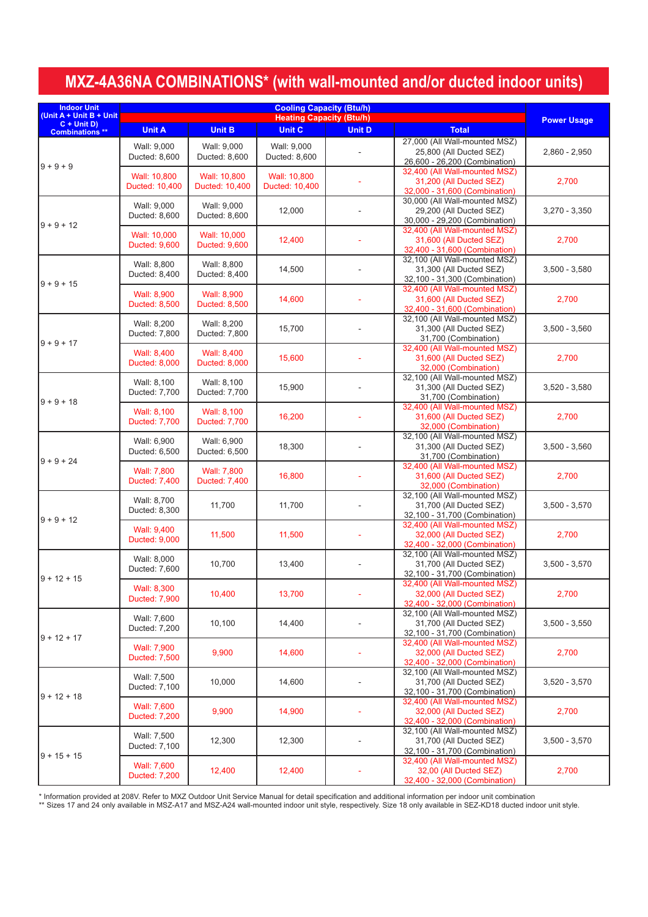# **MXZ-4A36NA COMBINATIONS\* (with wall-mounted and/or ducted indoor units)**

\* Information provided at 208V. Refer to MXZ Outdoor Unit Service Manual for detail specification and additional information per indoor unit combination \*\* Sizes 17 and 24 only available in MSZ-A17 and MSZ-A24 wall-mounted indoor unit style, respectively. Size 18 only available in SEZ-KD18 ducted indoor unit style.

| <b>Indoor Unit</b>                          | <b>Cooling Capacity (Btu/h)</b>            |                                             |                                       |               |                                                                                           |                 |  |  |
|---------------------------------------------|--------------------------------------------|---------------------------------------------|---------------------------------------|---------------|-------------------------------------------------------------------------------------------|-----------------|--|--|
| (Unit $A +$ Unit B + Unit  <br>$C + Unit D$ |                                            |                                             | <b>Heating Capacity (Btu/h)</b>       |               |                                                                                           |                 |  |  |
| <b>Combinations **</b>                      | <b>Unit A</b>                              | <b>Unit B</b>                               | <b>Unit C</b>                         | <b>Unit D</b> | <b>Total</b>                                                                              |                 |  |  |
|                                             | Wall: 9,000<br><b>Ducted: 8,600</b>        | Wall: 9,000<br><b>Ducted: 8,600</b>         | Wall: 9,000<br><b>Ducted: 8,600</b>   |               | 27,000 (All Wall-mounted MSZ)<br>25,800 (All Ducted SEZ)<br>26,600 - 26,200 (Combination) | $2,860 - 2,950$ |  |  |
| $ 9 + 9 + 9 $                               | Wall: 10,800<br><b>Ducted: 10,400</b>      | Wall: 10,800<br><b>Ducted: 10,400</b>       | Wall: 10,800<br><b>Ducted: 10,400</b> |               | 32,400 (All Wall-mounted MSZ)<br>31,200 (All Ducted SEZ)<br>32,000 - 31,600 (Combination) | 2,700           |  |  |
| $ 9 + 9 + 12 $                              | Wall: 9,000<br><b>Ducted: 8,600</b>        | Wall: 9,000<br><b>Ducted: 8,600</b>         | 12,000                                |               | 30,000 (All Wall-mounted MSZ)<br>29,200 (All Ducted SEZ)<br>30,000 - 29,200 (Combination) | $3,270 - 3,350$ |  |  |
|                                             | Wall: 10,000<br><b>Ducted: 9,600</b>       | <b>Wall: 10,000</b><br><b>Ducted: 9,600</b> | 12,400                                |               | 32,400 (All Wall-mounted MSZ)<br>31,600 (All Ducted SEZ)<br>32,400 - 31,600 (Combination) | 2,700           |  |  |
| $ 9 + 9 + 15 $                              | Wall: 8,800<br>Ducted: 8,400               | Wall: 8,800<br><b>Ducted: 8,400</b>         | 14,500                                |               | 32,100 (All Wall-mounted MSZ)<br>31,300 (All Ducted SEZ)<br>32,100 - 31,300 (Combination) | $3,500 - 3,580$ |  |  |
|                                             | <b>Wall: 8,900</b><br><b>Ducted: 8,500</b> | <b>Wall: 8,900</b><br><b>Ducted: 8,500</b>  | 14,600                                |               | 32,400 (All Wall-mounted MSZ)<br>31,600 (All Ducted SEZ)<br>32,400 - 31,600 (Combination) | 2,700           |  |  |
| $ 9 + 9 + 17 $                              | Wall: 8,200<br>Ducted: 7,800               | Wall: 8,200<br>Ducted: 7,800                | 15,700                                |               | 32,100 (All Wall-mounted MSZ)<br>31,300 (All Ducted SEZ)<br>31,700 (Combination)          | $3,500 - 3,560$ |  |  |
|                                             | <b>Wall: 8,400</b><br><b>Ducted: 8,000</b> | <b>Wall: 8,400</b><br><b>Ducted: 8,000</b>  | 15,600                                |               | 32,400 (All Wall-mounted MSZ)<br>31,600 (All Ducted SEZ)<br>32,000 (Combination)          | 2,700           |  |  |
| $ 9 + 9 + 18 $                              | Wall: 8,100<br>Ducted: 7,700               | Wall: 8,100<br>Ducted: 7,700                | 15,900                                |               | 32,100 (All Wall-mounted MSZ)<br>31,300 (All Ducted SEZ)<br>31,700 (Combination)          | $3,520 - 3,580$ |  |  |
|                                             | <b>Wall: 8,100</b><br><b>Ducted: 7,700</b> | <b>Wall: 8,100</b><br><b>Ducted: 7,700</b>  | 16,200                                |               | 32,400 (All Wall-mounted MSZ)<br>31,600 (All Ducted SEZ)<br>32,000 (Combination)          | 2,700           |  |  |
| $ 9 + 9 + 24 $                              | Wall: 6,900<br><b>Ducted: 6,500</b>        | Wall: 6,900<br><b>Ducted: 6,500</b>         | 18,300                                |               | 32,100 (All Wall-mounted MSZ)<br>31,300 (All Ducted SEZ)<br>31,700 (Combination)          | $3,500 - 3,560$ |  |  |
|                                             | <b>Wall: 7,800</b><br><b>Ducted: 7,400</b> | <b>Wall: 7,800</b><br><b>Ducted: 7,400</b>  | 16,800                                |               | 32,400 (All Wall-mounted MSZ)<br>31,600 (All Ducted SEZ)<br>32,000 (Combination)          | 2,700           |  |  |
| $ 9+9+12 $                                  | Wall: 8,700<br><b>Ducted: 8,300</b>        | 11,700                                      | 11,700                                |               | 32,100 (All Wall-mounted MSZ)<br>31,700 (All Ducted SEZ)<br>32,100 - 31,700 (Combination) | $3,500 - 3,570$ |  |  |
|                                             | <b>Wall: 9,400</b><br><b>Ducted: 9,000</b> | 11,500                                      | 11,500                                |               | 32,400 (All Wall-mounted MSZ)<br>32,000 (All Ducted SEZ)<br>32,400 - 32,000 (Combination) | 2,700           |  |  |
| $19 + 12 + 15$                              | Wall: 8,000<br><b>Ducted: 7,600</b>        | 10,700                                      | 13,400                                |               | 32,100 (All Wall-mounted MSZ)<br>31,700 (All Ducted SEZ)<br>32,100 - 31,700 (Combination) | $3,500 - 3,570$ |  |  |
|                                             | <b>Wall: 8,300</b><br><b>Ducted: 7,900</b> | 10,400                                      | 13,700                                |               | 32,400 (All Wall-mounted MSZ)<br>32,000 (All Ducted SEZ)<br>32,400 - 32,000 (Combination) | 2,700           |  |  |
| $9 + 12 + 17$                               | Wall: 7,600<br><b>Ducted: 7,200</b>        | 10,100                                      | 14,400                                |               | 32,100 (All Wall-mounted MSZ)<br>31,700 (All Ducted SEZ)<br>32,100 - 31,700 (Combination) | $3,500 - 3,550$ |  |  |
|                                             | <b>Wall: 7,900</b><br><b>Ducted: 7,500</b> | 9,900                                       | 14,600                                |               | 32,400 (All Wall-mounted MSZ)<br>32,000 (All Ducted SEZ)<br>32,400 - 32,000 (Combination) | 2,700           |  |  |
| $ 9 + 12 + 18$                              | Wall: 7,500<br>Ducted: 7,100               | 10,000                                      | 14,600                                |               | 32,100 (All Wall-mounted MSZ)<br>31,700 (All Ducted SEZ)<br>32,100 - 31,700 (Combination) | $3,520 - 3,570$ |  |  |
|                                             | <b>Wall: 7,600</b><br><b>Ducted: 7,200</b> | 9,900                                       | 14,900                                |               | 32,400 (All Wall-mounted MSZ)<br>32,000 (All Ducted SEZ)<br>32,400 - 32,000 (Combination) | 2,700           |  |  |
| $19 + 15 + 15$                              | Wall: 7,500<br>Ducted: 7,100               | 12,300                                      | 12,300                                |               | 32,100 (All Wall-mounted MSZ)<br>31,700 (All Ducted SEZ)<br>32,100 - 31,700 (Combination) | $3,500 - 3,570$ |  |  |
|                                             | <b>Wall: 7,600</b><br><b>Ducted: 7,200</b> | 12,400                                      | 12,400                                |               | 32,400 (All Wall-mounted MSZ)<br>32,00 (All Ducted SEZ)<br>32,400 - 32,000 (Combination)  | 2,700           |  |  |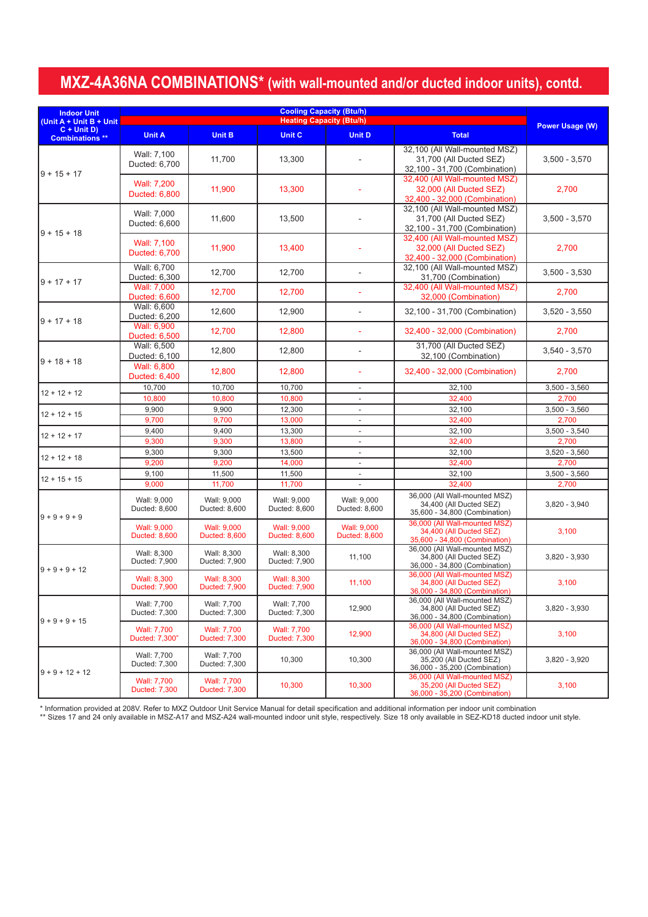| <b>Indoor Unit</b>                     | <b>Cooling Capacity (Btu/h)</b>            |                                            |                                            |                                            |                                                                                           |                        |  |
|----------------------------------------|--------------------------------------------|--------------------------------------------|--------------------------------------------|--------------------------------------------|-------------------------------------------------------------------------------------------|------------------------|--|
| <b>Unit A + Unit B + Unit</b>          |                                            |                                            | <b>Heating Capacity (Btu/h)</b>            |                                            |                                                                                           | <b>Power Usage (W)</b> |  |
| $C + Unit D$<br><b>Combinations **</b> | <b>Unit A</b>                              | <b>Unit B</b>                              | <b>Unit C</b>                              | <b>Unit D</b>                              | <b>Total</b>                                                                              |                        |  |
|                                        | Wall: 7,100<br>Ducted: 6,700               | 11,700                                     | 13,300                                     |                                            | 32,100 (All Wall-mounted MSZ)<br>31,700 (All Ducted SEZ)<br>32,100 - 31,700 (Combination) | $3,500 - 3,570$        |  |
| $ 9 + 15 + 17$                         | <b>Wall: 7,200</b><br><b>Ducted: 6,800</b> | 11,900                                     | 13,300                                     |                                            | 32,400 (All Wall-mounted MSZ)<br>32,000 (All Ducted SEZ)<br>32,400 - 32,000 (Combination) | 2,700                  |  |
| $19 + 15 + 18$                         | Wall: 7,000<br><b>Ducted: 6,600</b>        | 11,600                                     | 13,500                                     |                                            | 32,100 (All Wall-mounted MSZ)<br>31,700 (All Ducted SEZ)<br>32,100 - 31,700 (Combination) | $3,500 - 3,570$        |  |
|                                        | <b>Wall: 7,100</b><br><b>Ducted: 6,700</b> | 11,900                                     | 13,400                                     |                                            | 32,400 (All Wall-mounted MSZ)<br>32,000 (All Ducted SEZ)<br>32,400 - 32,000 (Combination) | 2,700                  |  |
| $ 9 + 17 + 17 $                        | Wall: 6,700<br>Ducted: 6,300               | 12,700                                     | 12,700                                     |                                            | 32,100 (All Wall-mounted MSZ)<br>31,700 (Combination)                                     | $3,500 - 3,530$        |  |
|                                        | <b>Wall: 7,000</b><br><b>Ducted: 6,600</b> | 12,700                                     | 12,700                                     |                                            | 32,400 (All Wall-mounted MSZ)<br>32,000 (Combination)                                     | 2,700                  |  |
| $19 + 17 + 18$                         | Wall: 6,600<br>Ducted: 6,200               | 12,600                                     | 12,900                                     |                                            | 32,100 - 31,700 (Combination)                                                             | $3,520 - 3,550$        |  |
|                                        | <b>Wall: 6,900</b><br><b>Ducted: 6,500</b> | 12,700                                     | 12,800                                     |                                            | 32,400 - 32,000 (Combination)                                                             | 2,700                  |  |
|                                        | Wall: 6,500<br>Ducted: 6,100               | 12,800                                     | 12,800                                     |                                            | 31,700 (All Ducted SEZ)<br>32,100 (Combination)                                           | $3,540 - 3,570$        |  |
| $ 9 + 18 + 18 $                        | <b>Wall: 6,800</b><br><b>Ducted: 6,400</b> | 12,800                                     | 12,800                                     |                                            | 32,400 - 32,000 (Combination)                                                             | 2,700                  |  |
|                                        | 10,700                                     | 10,700                                     | 10,700                                     |                                            | 32,100                                                                                    | $3,500 - 3,560$        |  |
| $12 + 12 + 12$                         | 10,800                                     | 10,800                                     | 10,800                                     |                                            | 32,400                                                                                    | 2,700                  |  |
| $12 + 12 + 15$                         | 9,900                                      | 9,900                                      | 12,300                                     |                                            | 32,100                                                                                    | $3,500 - 3,560$        |  |
|                                        | 9,700                                      | 9,700                                      | 13,000                                     |                                            | 32,400                                                                                    | 2,700                  |  |
| $12 + 12 + 17$                         | 9,400                                      | 9,400                                      | 13,300                                     |                                            | 32,100                                                                                    | $3,500 - 3,540$        |  |
|                                        | 9,300                                      | 9,300                                      | 13,800                                     |                                            | 32,400                                                                                    | 2,700                  |  |
| $12 + 12 + 18$                         | 9,300                                      | 9,300                                      | 13,500                                     |                                            | 32,100                                                                                    | $3,520 - 3,560$        |  |
|                                        | 9,200                                      | 9,200                                      | 14,000                                     |                                            | 32,400                                                                                    | 2,700                  |  |
| $12 + 15 + 15$                         | 9,100                                      | 11,500                                     | 11,500                                     |                                            | 32,100                                                                                    | $3,500 - 3,560$        |  |
|                                        | 9,000                                      | 11,700                                     | 11,700                                     |                                            | 32,400                                                                                    | 2,700                  |  |
| $9 + 9 + 9 + 9$                        | Wall: 9,000<br>Ducted: 8,600               | Wall: 9,000<br>Ducted: 8,600               | Wall: 9,000<br>Ducted: 8,600               | Wall: 9,000<br>Ducted: 8,600               | 36,000 (All Wall-mounted MSZ)<br>34,400 (All Ducted SEZ)<br>35,600 - 34,800 (Combination) | $3,820 - 3,940$        |  |
|                                        | <b>Wall: 9,000</b><br><b>Ducted: 8,600</b> | <b>Wall: 9,000</b><br><b>Ducted: 8,600</b> | <b>Wall: 9,000</b><br><b>Ducted: 8,600</b> | <b>Wall: 9,000</b><br><b>Ducted: 8,600</b> | 36,000 (All Wall-mounted MSZ)<br>34,400 (All Ducted SEZ)<br>35,600 - 34,800 (Combination) | 3,100                  |  |
| $9 + 9 + 9 + 12$                       | Wall: 8,300<br>Ducted: 7,900               | Wall: 8,300<br>Ducted: 7,900               | Wall: 8,300<br>Ducted: 7,900               | 11,100                                     | 36,000 (All Wall-mounted MSZ)<br>34,800 (All Ducted SEZ)<br>36,000 - 34,800 (Combination) | $3,820 - 3,930$        |  |
|                                        | <b>Wall: 8,300</b><br><b>Ducted: 7,900</b> | <b>Wall: 8,300</b><br><b>Ducted: 7,900</b> | <b>Wall: 8,300</b><br><b>Ducted: 7,900</b> | 11,100                                     | 36,000 (All Wall-mounted MSZ)<br>34,800 (All Ducted SEZ)<br>36,000 - 34,800 (Combination) | 3,100                  |  |
|                                        | Wall: 7,700<br>Ducted: 7,300               | Wall: 7,700<br>Ducted: 7,300               | Wall: 7,700<br>Ducted: 7,300               | 12,900                                     | 36,000 (All Wall-mounted MSZ)<br>34,800 (All Ducted SEZ)<br>36,000 - 34,800 (Combination) | $3,820 - 3,930$        |  |
| $19 + 9 + 9 + 15$                      | <b>Wall: 7,700</b><br>Ducted: 7,300"       | Wall: 7,700<br><b>Ducted: 7,300</b>        | Wall: 7,700<br><b>Ducted: 7,300</b>        | 12,900                                     | 36,000 (All Wall-mounted MSZ)<br>34,800 (All Ducted SEZ)<br>36,000 - 34,800 (Combination) | 3,100                  |  |
|                                        | Wall: 7,700<br>Ducted: 7,300               | Wall: 7,700<br>Ducted: 7,300               | 10,300                                     | 10,300                                     | 36,000 (All Wall-mounted MSZ)<br>35,200 (All Ducted SEZ)<br>36,000 - 35,200 (Combination) | $3,820 - 3,920$        |  |
| $19 + 9 + 12 + 12$                     | Wall: 7,700<br>Ducted: 7,300               | <b>Wall: 7,700</b><br><b>Ducted: 7,300</b> | 10,300                                     | 10,300                                     | 36,000 (All Wall-mounted MSZ)<br>35,200 (All Ducted SEZ)<br>36 000 35 200 (Combination)   | 3,100                  |  |

## **MXZ-4A36NA COMBINATIONS\* (with wall-mounted and/or ducted indoor units), contd.**

\* Information provided at 208V. Refer to MXZ Outdoor Unit Service Manual for detail specification and additional information per indoor unit combination \*\* Sizes 17 and 24 only available in MSZ-A17 and MSZ-A24 wall-mounted indoor unit style, respectively. Size 18 only available in SEZ-KD18 ducted indoor unit style.